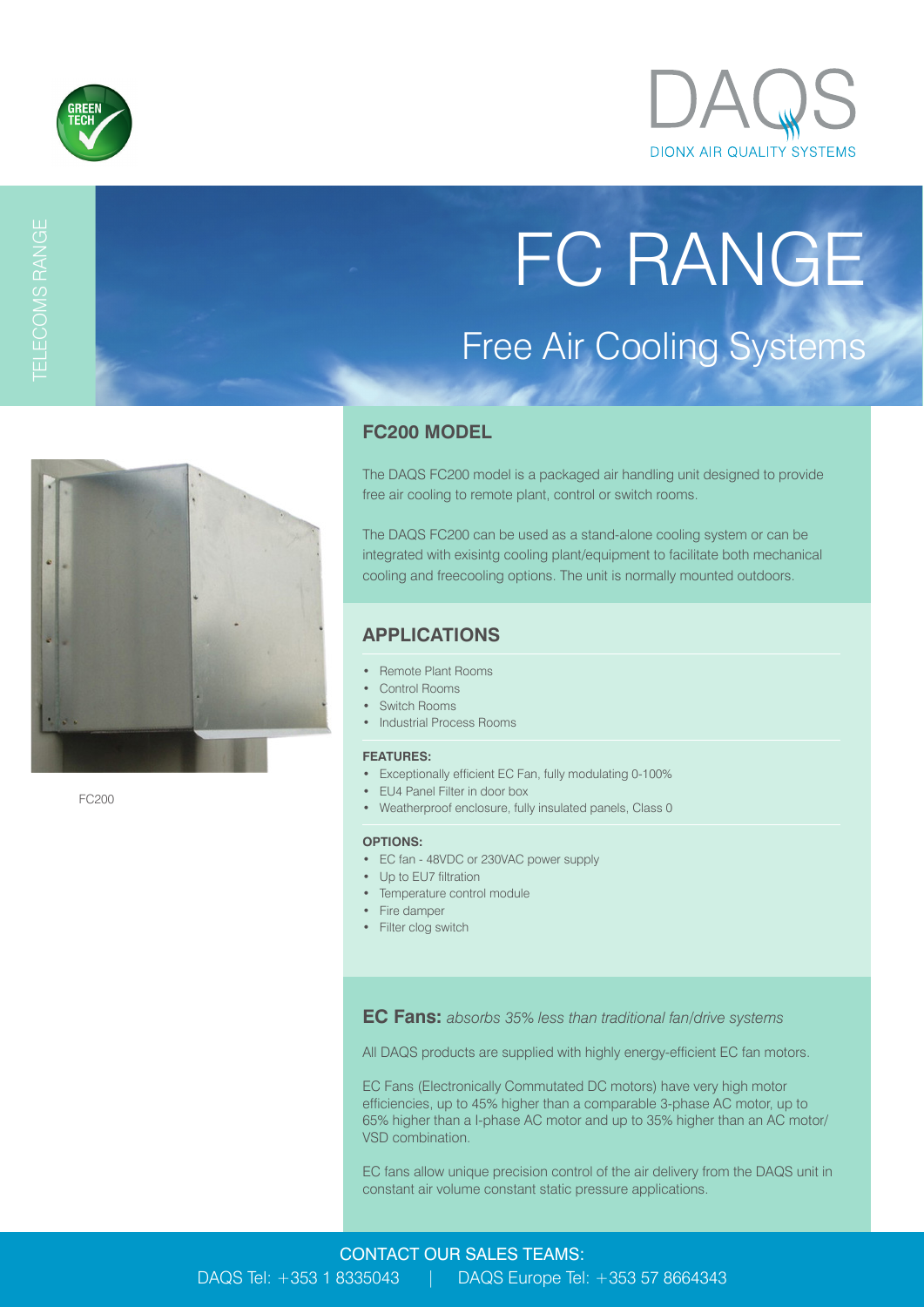



# FC RANGE Free Air Cooling Systems



FC200

## **FC200 MODEL**

The DAQS FC200 model is a packaged air handling unit designed to provide free air cooling to remote plant, control or switch rooms.

The DAQS FC200 can be used as a stand-alone cooling system or can be integrated with exisintg cooling plant/equipment to facilitate both mechanical cooling and freecooling options. The unit is normally mounted outdoors.

# **APPLICATIONS**

- Remote Plant Rooms
- Control Rooms
- Switch Rooms
- Industrial Process Rooms

#### **FEATURES:**

- Exceptionally efficient EC Fan, fully modulating 0-100%
- EU4 Panel Filter in door box
- Weatherproof enclosure, fully insulated panels, Class 0

#### **OPTIONS:**

- EC fan 48VDC or 230VAC power supply
- Up to EU7 filtration
- Temperature control module
- Fire damper
- Filter clog switch

**EC Fans:** *absorbs 35% less than traditional fan/drive systems*

All DAQS products are supplied with highly energy-efficient EC fan motors.

EC Fans (Electronically Commutated DC motors) have very high motor efficiencies, up to 45% higher than a comparable 3-phase AC motor, up to 65% higher than a I-phase AC motor and up to 35% higher than an AC motor/ VSD combination.

EC fans allow unique precision control of the air delivery from the DAQS unit in constant air volume constant static pressure applications.